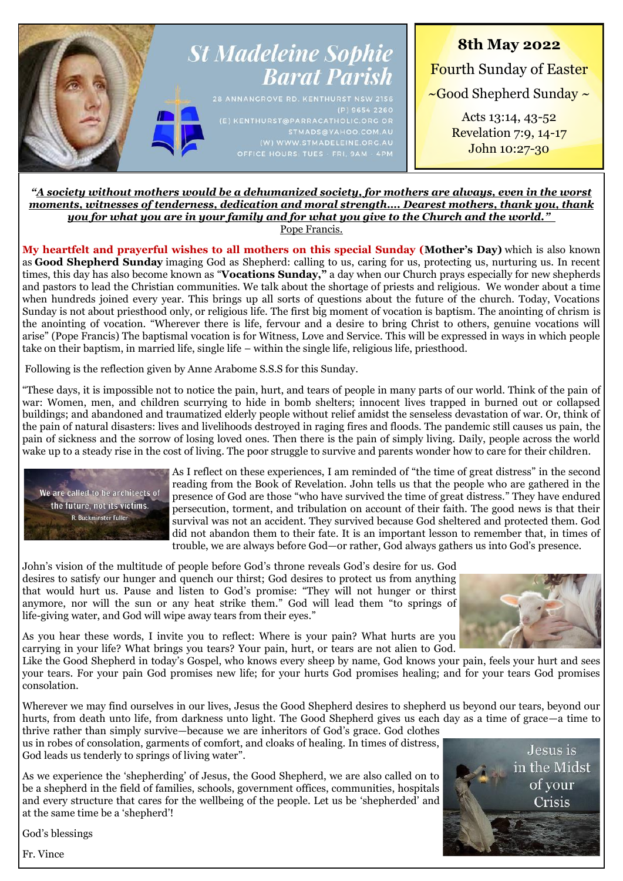

## *"A society without mothers would be a dehumanized society, for mothers are always, even in the worst moments, witnesses of tenderness, dedication and moral strength…. Dearest mothers, thank you, thank you for what you are in your family and for what you give to the Church and the world."*

Pope Francis.

**My heartfelt and prayerful wishes to all mothers on this special Sunday (Mother's Day)** which is also known as **Good Shepherd Sunday** imaging God as Shepherd: calling to us, caring for us, protecting us, nurturing us. In recent times, this day has also become known as "**Vocations Sunday,"** a day when our Church prays especially for new shepherds and pastors to lead the Christian communities. We talk about the shortage of priests and religious. We wonder about a time when hundreds joined every year. This brings up all sorts of questions about the future of the church. Today, Vocations Sunday is not about priesthood only, or religious life. The first big moment of vocation is baptism. The anointing of chrism is the anointing of vocation. "Wherever there is life, fervour and a desire to bring Christ to others, genuine vocations will arise" (Pope Francis) The baptismal vocation is for Witness, Love and Service. This will be expressed in ways in which people take on their baptism, in married life, single life – within the single life, religious life, priesthood.

Following is the reflection given by Anne Arabome S.S.S for this Sunday.

"These days, it is impossible not to notice the pain, hurt, and tears of people in many parts of our world. Think of the pain of war: Women, men, and children scurrying to hide in bomb shelters; innocent lives trapped in burned out or collapsed buildings; and abandoned and traumatized elderly people without relief amidst the senseless devastation of war. Or, think of the pain of natural disasters: lives and livelihoods destroyed in raging fires and floods. The pandemic still causes us pain, the pain of sickness and the sorrow of losing loved ones. Then there is the pain of simply living. Daily, people across the world wake up to a steady rise in the cost of living. The poor struggle to survive and parents wonder how to care for their children.



As I reflect on these experiences, I am reminded of "the time of great distress" in the second reading from the Book of Revelation. John tells us that the people who are gathered in the presence of God are those "who have survived the time of great distress." They have endured persecution, torment, and tribulation on account of their faith. The good news is that their survival was not an accident. They survived because God sheltered and protected them. God did not abandon them to their fate. It is an important lesson to remember that, in times of trouble, we are always before God—or rather, God always gathers us into God's presence.

John's vision of the multitude of people before God's throne reveals God's desire for us. God desires to satisfy our hunger and quench our thirst; God desires to protect us from anything that would hurt us. Pause and listen to God's promise: "They will not hunger or thirst anymore, nor will the sun or any heat strike them." God will lead them "to springs of life-giving water, and God will wipe away tears from their eyes."



As you hear these words, I invite you to reflect: Where is your pain? What hurts are you carrying in your life? What brings you tears? Your pain, hurt, or tears are not alien to God.

Like the Good Shepherd in today's Gospel, who knows every sheep by name, God knows your pain, feels your hurt and sees your tears. For your pain God promises new life; for your hurts God promises healing; and for your tears God promises consolation.

Wherever we may find ourselves in our lives, Jesus the Good Shepherd desires to shepherd us beyond our tears, beyond our hurts, from death unto life, from darkness unto light. The Good Shepherd gives us each day as a time of grace—a time to thrive rather than simply survive—because we are inheritors of God's grace. God clothes

us in robes of consolation, garments of comfort, and cloaks of healing. In times of distress, God leads us tenderly to springs of living water".

As we experience the 'shepherding' of Jesus, the Good Shepherd, we are also called on to be a shepherd in the field of families, schools, government offices, communities, hospitals and every structure that cares for the wellbeing of the people. Let us be 'shepherded' and at the same time be a 'shepherd'!



God's blessings

Fr. Vince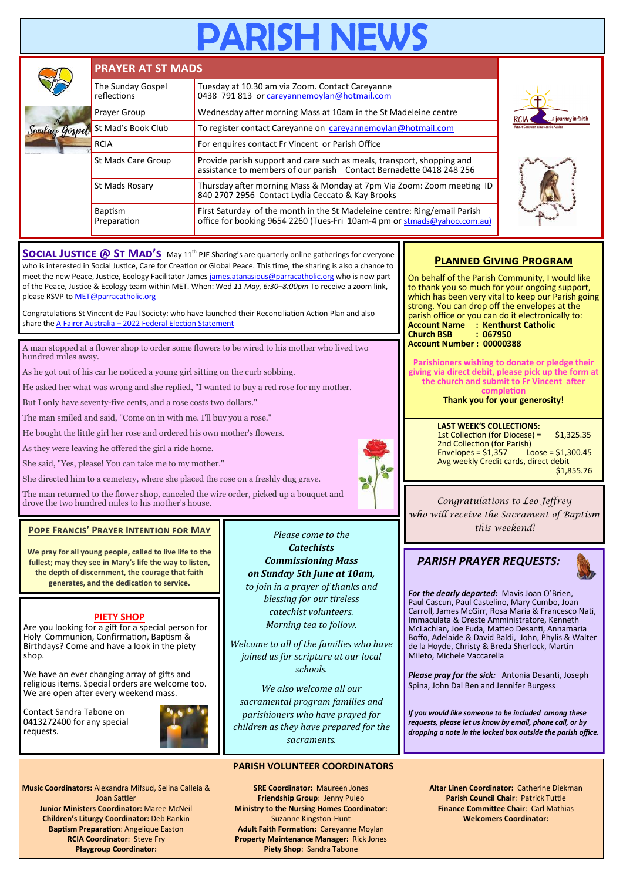# **ARISH NEV**

|  | <b>PRAYER AT ST MADS</b>                                                           |                                                                                                                                                                                                                                                                            |  |  |  |  |
|--|------------------------------------------------------------------------------------|----------------------------------------------------------------------------------------------------------------------------------------------------------------------------------------------------------------------------------------------------------------------------|--|--|--|--|
|  | The Sunday Gospel<br>reflections                                                   | Tuesday at 10.30 am via Zoom. Contact Careyanne<br>0438 791 813 or careyannemoylan@hotmail.com                                                                                                                                                                             |  |  |  |  |
|  | Prayer Group                                                                       | Wednesday after morning Mass at 10am in the St Madeleine centre                                                                                                                                                                                                            |  |  |  |  |
|  | St Mad's Book Club<br>To register contact Careyanne on careyannemoylan@hotmail.com |                                                                                                                                                                                                                                                                            |  |  |  |  |
|  | <b>RCIA</b>                                                                        | For enquires contact Fr Vincent or Parish Office                                                                                                                                                                                                                           |  |  |  |  |
|  | St Mads Care Group                                                                 | Provide parish support and care such as meals, transport, shopping and<br>assistance to members of our parish Contact Bernadette 0418 248 256<br>Thursday after morning Mass & Monday at 7pm Via Zoom: Zoom meeting ID<br>840 2707 2956 Contact Lydia Ceccato & Kay Brooks |  |  |  |  |
|  | St Mads Rosary                                                                     |                                                                                                                                                                                                                                                                            |  |  |  |  |
|  | <b>Baptism</b><br>Preparation                                                      | First Saturday of the month in the St Madeleine centre: Ring/email Parish<br>office for booking 9654 2260 (Tues-Fri 10am-4 pm or stmads@yahoo.com.au)                                                                                                                      |  |  |  |  |

**SOCIAL JUSTICE @ ST MAD'S** May 11<sup>th</sup> PJE Sharing's are quarterly online gatherings for everyone who is interested in Social Justice, Care for Creation or Global Peace. This time, the sharing is also a chance to meet the new Peace, Justice, Ecology Facilitator James [james.atanasious@parracatholic.org](mailto:james.atanasious@parracatholic.org) who is now part of the Peace, Justice & Ecology team within MET. When: Wed *11 May, 6:30–8:00pm* To receive a zoom link, please RSVP to [MET@parracatholic.org](mailto:MET@parracatholic.org)

Congratulations St Vincent de Paul Society: who have launched their Reconciliation Action Plan and also share the A Fairer Australia – [2022 Federal Election Statement](https://www.vinnies.org.au/page/News/National_Media_Releases/National_media_releases_2022/A_Fairer_Australia%E2%80%93federal_election_statement_2022/) 

A man stopped at a flower shop to order some flowers to be wired to his mother who lived two hundred miles away.

As he got out of his car he noticed a young girl sitting on the curb sobbing.

He asked her what was wrong and she replied, "I wanted to buy a red rose for my mother.

But I only have seventy-five cents, and a rose costs two dollars."

The man smiled and said, "Come on in with me. I'll buy you a rose."

He bought the little girl her rose and ordered his own mother's flowers.

As they were leaving he offered the girl a ride home.

She said, "Yes, please! You can take me to my mother."

She directed him to a cemetery, where she placed the rose on a freshly dug grave.

The man returned to the flower shop, canceled the wire order, picked up a bouquet and drove the two hundred miles to his mother's house.

#### **Pope Francis' Prayer Intention for May**

**We pray for all young people, called to live life to the fullest; may they see in Mary's life the way to listen, the depth of discernment, the courage that faith generates, and the dedication to service.**

#### **PIETY SHOP**

Are you looking for a gift for a special person for Holy Communion, Confirmation, Baptism & Birthdays? Come and have a look in the piety shop.

We have an ever changing array of gifts and religious items. Special orders are welcome too. We are open after every weekend mass.

Contact Sandra Tabone on 0413272400 for any special requests.



**Music Coordinators:** Alexandra Mifsud, Selina Calleia & Joan Sattler **Junior Ministers Coordinator:** Maree McNeil **Children's Liturgy Coordinator:** Deb Rankin **Baptism Preparation**: Angelique Easton **RCIA Coordinator**: Steve Fry **Playgroup Coordinator:** 

*Please come to the Catechists Commissioning Mass on Sunday 5th June at 10am, to join in a prayer of thanks and blessing for our tireless catechist volunteers. Morning tea to follow.*

*Welcome to all of the families who have joined us for scripture at our local schools.*

*We also welcome all our sacramental program families and parishioners who have prayed for children as they have prepared for the sacraments.*

#### **PARISH VOLUNTEER COORDINATORS**

**SRE Coordinator:** Maureen Jones **Friendship Group**: Jenny Puleo **Ministry to the Nursing Homes Coordinator:**  Suzanne Kingston-Hunt **Adult Faith Formation:** Careyanne Moylan **Property Maintenance Manager:** Rick Jones **Piety Shop**: Sandra Tabone

## **Planned Giving Program**

ourney i<mark>n</mark> faith

On behalf of the Parish Community, I would like to thank you so much for your ongoing support, which has been very vital to keep our Parish going strong. You can drop off the envelopes at the parish office or you can do it electronically to: **Account Name : Kenthurst Catholic Church BSB Account Number : 00000388**

**Parishioners wishing to donate or pledge their giving via direct debit, please pick up the form at the church and submit to Fr Vincent after completion**

**Thank you for your generosity!**

**LAST WEEK'S COLLECTIONS:** 1st Collection (for Diocese) = \$1,325.35  $2$ nd Collection (for Parish)<br>Envelopes = \$1,357 Loose = \$1,300.45  $Envelopes = $1,357$ Avg weekly Credit cards, direct debit \$1,855.76

*Congratulations to Leo Jeffrey who will receive the Sacrament of Baptism this weekend!*

## *PARISH PRAYER REQUESTS:*



*For the dearly departed:* Mavis Joan O'Brien, Paul Cascun, Paul Castelino, Mary Cumbo, Joan Carroll, James McGirr, Rosa Maria & Francesco Nati, Immaculata & Oreste Amministratore, Kenneth McLachlan, Joe Fuda, Matteo Desanti, Annamaria Boffo, Adelaide & David Baldi, John, Phylis & Walter de la Hoyde, Christy & Breda Sherlock, Martin Mileto, Michele Vaccarella

*Please pray for the sick:* Antonia Desanti, Joseph Spina, John Dal Ben and Jennifer Burgess

*If you would like someone to be included among these requests, please let us know by email, phone call, or by dropping a note in the locked box outside the parish office.*

**Altar Linen Coordinator:** Catherine Diekman **Parish Council Chair**: Patrick Tuttle **Finance Committee Chair**: Carl Mathias **Welcomers Coordinator:**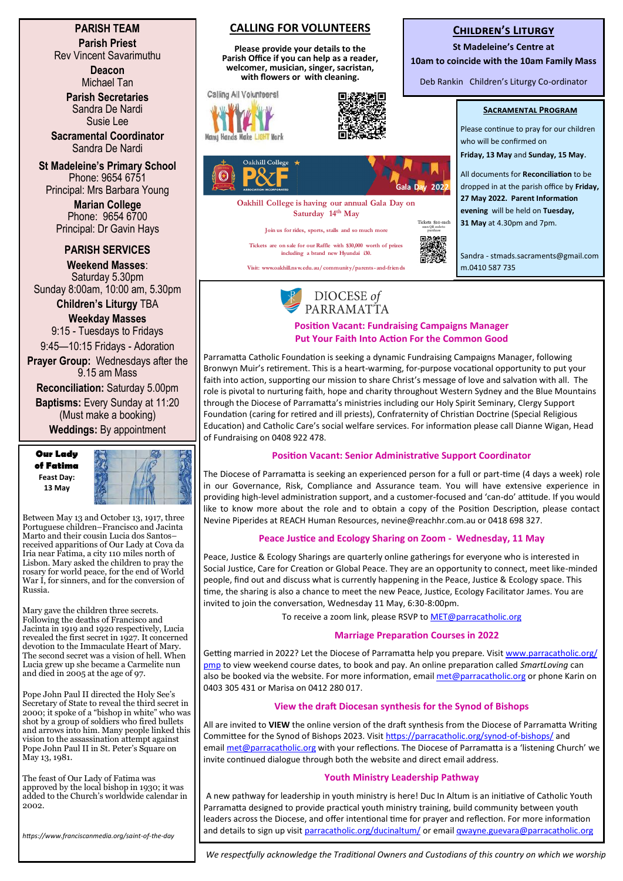**PARISH TEAM Parish Priest**

Rev Vincent Savarimuthu

**Deacon** Michael Tan

**Parish Secretaries** Sandra De Nardi Susie Lee

**Sacramental Coordinator** Sandra De Nardi

**St Madeleine's Primary School** Phone: 9654 6751 Principal: Mrs Barbara Young

> **Marian College** Phone: 9654 6700 Principal: Dr Gavin Hays

### **PARISH SERVICES**

**Weekend Masses**: Saturday 5.30pm Sunday 8:00am, 10:00 am, 5.30pm

**Children's Liturgy** TBA **Weekday Masses** 

9:15 - Tuesdays to Fridays 9:45—10:15 Fridays - Adoration

**Prayer Group:** Wednesdays after the 9.15 am Mass

**Reconciliation:** Saturday 5.00pm **Baptisms:** Every Sunday at 11:20

(Must make a booking) **Weddings:** By appointment

**Our Lady of Fatima Feast Day: 13 May**



Between May 13 and October 13, 1917, three Portuguese children–Francisco and Jacinta Marto and their cousin Lucia dos Santos– received apparitions of Our Lady at Cova da Iria near Fatima, a city 110 miles north of Lisbon. Mary asked the children to pray the rosary for world peace, for the end of World War I, for sinners, and for the conversion of Russia.

Mary gave the children three secrets. Following the deaths of Francisco and Jacinta in 1919 and 1920 respectively, Lucia revealed the first secret in 1927. It concerned devotion to the Immaculate Heart of Mary. The second secret was a vision of hell. When Lucia grew up she became a Carmelite nun and died in 2005 at the age of 97.

Pope John Paul II directed the Holy See's Secretary of State to reveal the third secret in 2000; it spoke of a "bishop in white" who was shot by a group of soldiers who fired bullets and arrows into him. Many people linked this vision to the assassination attempt against Pope John Paul II in St. Peter's Square on May 13, 1981.

The feast of Our Lady of Fatima was approved by the local bishop in 1930; it was added to the Church's worldwide calendar in 2002.

*https://www.franciscanmedia.org/saint-of-the-day*

## **CALLING FOR VOLUNTEERS**

**Please provide your details to the Parish Office if you can help as a reader, welcomer, musician, singer, sacristan, with flowers or with cleaning.**

Calling All Volunteers!







**Oakhill College is having our annual Gala Day on Saturday 14th May**

**Join us for rides, sports, stalls and so much more**

**Tickets are on sale for our Raffle with \$30,000 worth of prizes including a brand new Hyundai i30.**

**Visit: www.oakhill.ns w.edu.au/communit y/parents-and-friends**



#### **Children's Liturgy**

**St Madeleine's Centre at**

**10am to coincide with the 10am Family Mass**

Deb Rankin Children's Liturgy Co-ordinator

#### **Sacramental Program**

Please continue to pray for our children who will be confirmed on **Friday, 13 May** and **Sunday, 15 May**.

All documents for **Reconciliation** to be dropped in at the parish office by **Friday, 27 May 2022. Parent Information evening** will be held on **Tuesday, 31 May** at 4.30pm and 7pm.

Sandra - stmads.sacraments@gmail.com m.0410 587 735



#### **Position Vacant: Fundraising Campaigns Manager Put Your Faith Into Action For the Common Good**

Parramatta Catholic Foundation is seeking a dynamic Fundraising Campaigns Manager, following Bronwyn Muir's retirement. This is a heart-warming, for-purpose vocational opportunity to put your faith into action, supporting our mission to share Christ's message of love and salvation with all. The role is pivotal to nurturing faith, hope and charity throughout Western Sydney and the Blue Mountains through the Diocese of Parramatta's ministries including our Holy Spirit Seminary, Clergy Support Foundation (caring for retired and ill priests), Confraternity of Christian Doctrine (Special Religious Education) and Catholic Care's social welfare services. For information please call Dianne Wigan, Head of Fundraising on 0408 922 478.

#### **Position Vacant: Senior Administrative Support Coordinator**

The Diocese of Parramatta is seeking an experienced person for a full or part-time (4 days a week) role in our Governance, Risk, Compliance and Assurance team. You will have extensive experience in providing high-level administration support, and a customer-focused and 'can-do' attitude. If you would like to know more about the role and to obtain a copy of the Position Description, please contact Nevine Piperides at REACH Human Resources, [nevine@reachhr.com.au o](mailto:nevine@reachhr.com.au)r 0418 698 327.

#### **Peace Justice and Ecology Sharing on Zoom - Wednesday, 11 May**

Peace, Justice & Ecology Sharings are quarterly online gatherings for everyone who is interested in Social Justice, Care for Creation or Global Peace. They are an opportunity to connect, meet like-minded people, find out and discuss what is currently happening in the Peace, Justice & Ecology space. This time, the sharing is also a chance to meet the new Peace, Justice, Ecology Facilitator James. You are invited to join the conversation, Wednesday 11 May, 6:30-8:00pm.

To receive a zoom link, please RSVP to <MET@parracatholic.org>

#### **Marriage Preparation Courses in 2022**

Getting married in 2022? Let the Diocese of Parramatta help you prepare. Visit [www.parracatholic.org/](http://www.parracatholic.org/pmp) [pmp](http://www.parracatholic.org/pmp) to view weekend course dates, to book and pay. An online preparation called *SmartLoving* can also be booked via the website. For more information, email [met@parracatholic.org](mailto:met@parracatholic.org) or phone Karin on 0403 305 431 or Marisa on 0412 280 017.

#### **View the draft Diocesan synthesis for the Synod of Bishops**

All are invited to **VIEW** the online version of the draft synthesis from the Diocese of Parramatta Writing Committee for the Synod of Bishops 2023. Visit [https://parracatholic.org/synod](https://parracatholic.org/synod-of-bishops/)-of-bishops/ and email [met@parracatholic.org](mailto:met@parracatholic.org) with your reflections. The Diocese of Parramatta is a 'listening Church' we invite continued dialogue through both the website and direct email address.

#### **Youth Ministry Leadership Pathway**

A new pathway for leadership in youth ministry is here! Duc In Altum is an initiative of Catholic Youth Parramatta designed to provide practical youth ministry training, build community between youth leaders across the Diocese, and offer intentional time for prayer and reflection. For more information and details to sign up visit [parracatholic.org/ducinaltum/](https://parracatholic.org/ducinaltum/) or email [qwayne.guevara@parracatholic.org](mailto:qwayne.guevara@parracatholic.org)